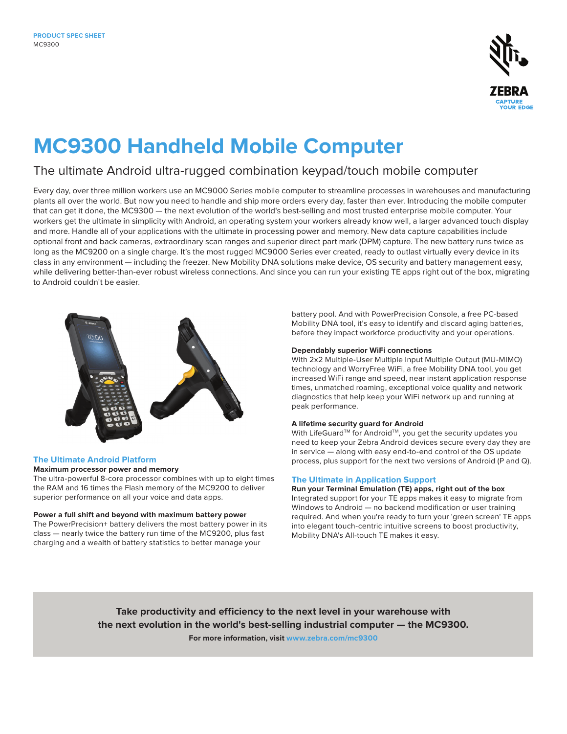

# **MC9300 Handheld Mobile Computer**

### The ultimate Android ultra-rugged combination keypad/touch mobile computer

Every day, over three million workers use an MC9000 Series mobile computer to streamline processes in warehouses and manufacturing plants all over the world. But now you need to handle and ship more orders every day, faster than ever. Introducing the mobile computer that can get it done, the MC9300 — the next evolution of the world's best-selling and most trusted enterprise mobile computer. Your workers get the ultimate in simplicity with Android, an operating system your workers already know well, a larger advanced touch display and more. Handle all of your applications with the ultimate in processing power and memory. New data capture capabilities include optional front and back cameras, extraordinary scan ranges and superior direct part mark (DPM) capture. The new battery runs twice as long as the MC9200 on a single charge. It's the most rugged MC9000 Series ever created, ready to outlast virtually every device in its class in any environment — including the freezer. New Mobility DNA solutions make device, OS security and battery management easy, while delivering better-than-ever robust wireless connections. And since you can run your existing TE apps right out of the box, migrating to Android couldn't be easier.



#### **The Ultimate Android Platform**

#### **Maximum processor power and memory**

The ultra-powerful 8-core processor combines with up to eight times the RAM and 16 times the Flash memory of the MC9200 to deliver superior performance on all your voice and data apps.

#### **Power a full shift and beyond with maximum battery power**

The PowerPrecision+ battery delivers the most battery power in its class — nearly twice the battery run time of the MC9200, plus fast charging and a wealth of battery statistics to better manage your

battery pool. And with PowerPrecision Console, a free PC-based Mobility DNA tool, it's easy to identify and discard aging batteries, before they impact workforce productivity and your operations.

#### **Dependably superior WiFi connections**

With 2x2 Multiple-User Multiple Input Multiple Output (MU-MIMO) technology and WorryFree WiFi, a free Mobility DNA tool, you get increased WiFi range and speed, near instant application response times, unmatched roaming, exceptional voice quality and network diagnostics that help keep your WiFi network up and running at peak performance.

#### **A lifetime security guard for Android**

With LifeGuard™ for Android™, you get the security updates you need to keep your Zebra Android devices secure every day they are in service — along with easy end-to-end control of the OS update process, plus support for the next two versions of Android (P and Q).

#### **The Ultimate in Application Support**

**Run your Terminal Emulation (TE) apps, right out of the box** Integrated support for your TE apps makes it easy to migrate from Windows to Android — no backend modification or user training required. And when you're ready to turn your 'green screen' TE apps into elegant touch-centric intuitive screens to boost productivity, Mobility DNA's All-touch TE makes it easy.

**Take productivity and efficiency to the next level in your warehouse with the next evolution in the world's best-selling industrial computer — the MC9300. For more information, visit [www.zebra.com/](http://www.zebra.com/mc9300)mc9300**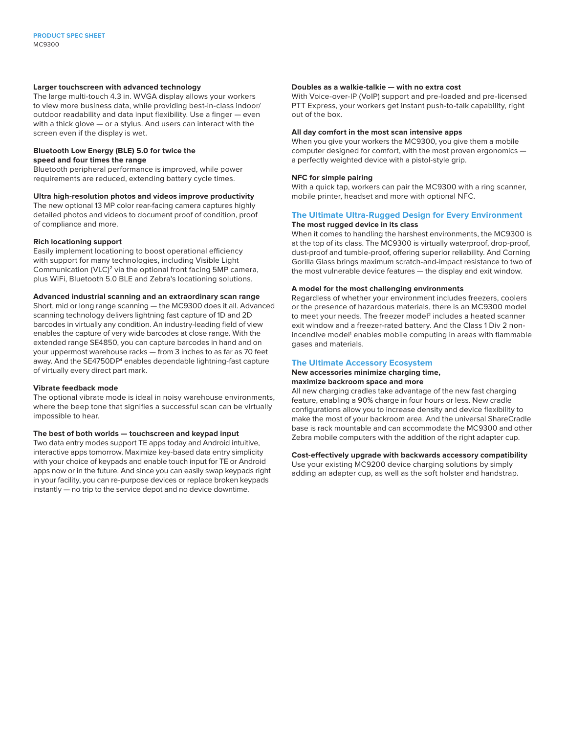#### **Larger touchscreen with advanced technology**

The large multi-touch 4.3 in. WVGA display allows your workers to view more business data, while providing best-in-class indoor/ outdoor readability and data input flexibility. Use a finger — even with a thick glove — or a stylus. And users can interact with the screen even if the display is wet.

#### **Bluetooth Low Energy (BLE) 5.0 for twice the speed and four times the range**

Bluetooth peripheral performance is improved, while power requirements are reduced, extending battery cycle times.

#### **Ultra high-resolution photos and videos improve productivity**

The new optional 13 MP color rear-facing camera captures highly detailed photos and videos to document proof of condition, proof of compliance and more.

#### **Rich locationing support**

Easily implement locationing to boost operational efficiency with support for many technologies, including Visible Light Communication (VLC)<sup>2</sup> via the optional front facing 5MP camera, plus WiFi, Bluetooth 5.0 BLE and Zebra's locationing solutions.

#### **Advanced industrial scanning and an extraordinary scan range**

Short, mid or long range scanning — the MC9300 does it all. Advanced scanning technology delivers lightning fast capture of 1D and 2D barcodes in virtually any condition. An industry-leading field of view enables the capture of very wide barcodes at close range. With the extended range SE4850, you can capture barcodes in hand and on your uppermost warehouse racks — from 3 inches to as far as 70 feet away. And the SE4750DP<sup>4</sup> enables dependable lightning-fast capture of virtually every direct part mark.

#### **Vibrate feedback mode**

The optional vibrate mode is ideal in noisy warehouse environments, where the beep tone that signifies a successful scan can be virtually impossible to hear.

#### **The best of both worlds — touchscreen and keypad input**

Two data entry modes support TE apps today and Android intuitive, interactive apps tomorrow. Maximize key-based data entry simplicity with your choice of keypads and enable touch input for TE or Android apps now or in the future. And since you can easily swap keypads right in your facility, you can re-purpose devices or replace broken keypads instantly — no trip to the service depot and no device downtime.

#### **Doubles as a walkie-talkie — with no extra cost**

With Voice-over-IP (VoIP) support and pre-loaded and pre-licensed PTT Express, your workers get instant push-to-talk capability, right out of the box.

#### **All day comfort in the most scan intensive apps**

When you give your workers the MC9300, you give them a mobile computer designed for comfort, with the most proven ergonomics a perfectly weighted device with a pistol-style grip.

#### **NFC for simple pairing**

With a quick tap, workers can pair the MC9300 with a ring scanner, mobile printer, headset and more with optional NFC.

#### **The Ultimate Ultra-Rugged Design for Every Environment The most rugged device in its class**

When it comes to handling the harshest environments, the MC9300 is at the top of its class. The MC9300 is virtually waterproof, drop-proof, dust-proof and tumble-proof, offering superior reliability. And Corning Gorilla Glass brings maximum scratch-and-impact resistance to two of the most vulnerable device features — the display and exit window.

#### **A model for the most challenging environments**

Regardless of whether your environment includes freezers, coolers or the presence of hazardous materials, there is an MC9300 model to meet your needs. The freezer model<sup>2</sup> includes a heated scanner exit window and a freezer-rated battery. And the Class 1 Div 2 nonincendive model<sup>1</sup> enables mobile computing in areas with flammable gases and materials.

#### **The Ultimate Accessory Ecosystem**

**New accessories minimize charging time, maximize backroom space and more**

All new charging cradles take advantage of the new fast charging feature, enabling a 90% charge in four hours or less. New cradle

configurations allow you to increase density and device flexibility to make the most of your backroom area. And the universal ShareCradle base is rack mountable and can accommodate the MC9300 and other Zebra mobile computers with the addition of the right adapter cup.

#### **Cost-effectively upgrade with backwards accessory compatibility**

Use your existing MC9200 device charging solutions by simply adding an adapter cup, as well as the soft holster and handstrap.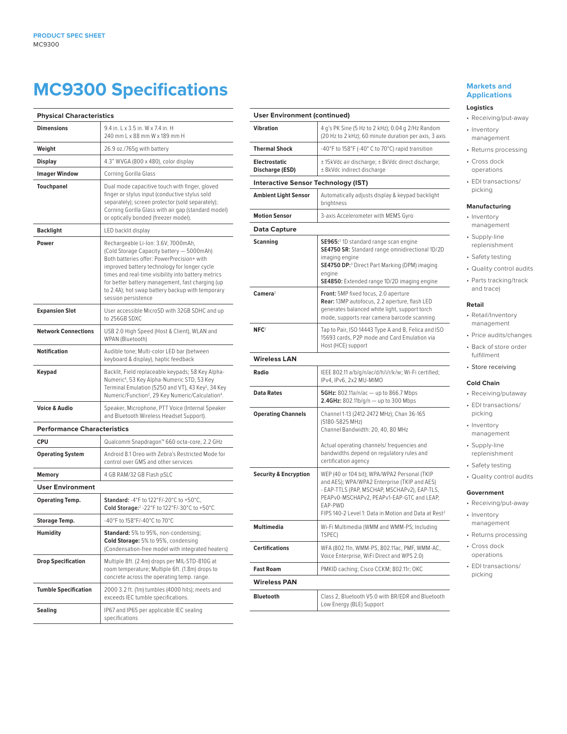## **MC9300 Specifications**

| <b>Physical Characteristics</b>    |                                                                                                                                                                                                                                                                                                                                                                      |
|------------------------------------|----------------------------------------------------------------------------------------------------------------------------------------------------------------------------------------------------------------------------------------------------------------------------------------------------------------------------------------------------------------------|
| <b>Dimensions</b>                  | 9.4 in. L x 3.5 in. W x 7.4 in. H<br>240 mm L x 88 mm W x 189 mm H                                                                                                                                                                                                                                                                                                   |
| Weight                             | 26.9 oz./765g with battery                                                                                                                                                                                                                                                                                                                                           |
| <b>Display</b>                     | 4.3" WVGA (800 x 480), color display                                                                                                                                                                                                                                                                                                                                 |
| <b>Imager Window</b>               | Corning Gorilla Glass                                                                                                                                                                                                                                                                                                                                                |
| <b>Touchpanel</b>                  | Dual mode capacitive touch with finger, gloved<br>finger or stylus input (conductive stylus sold<br>separately); screen protector (sold separately);<br>Corning Gorilla Glass with air gap (standard model)<br>or optically bonded (freezer model).                                                                                                                  |
| Backlight                          | LED backlit display                                                                                                                                                                                                                                                                                                                                                  |
| Power                              | Rechargeable Li-Ion: 3.6V, 7000mAh,<br>(Cold Storage Capacity battery - 5000mAh)<br>Both batteries offer: PowerPrecision+ with<br>improved battery technology for longer cycle<br>times and real-time visibility into battery metrics<br>for better battery management, fast charging (up<br>to 2.4A); hot swap battery backup with temporary<br>session persistence |
| <b>Expansion Slot</b>              | User accessible MicroSD with 32GB SDHC and up<br>to 256GB SDXC                                                                                                                                                                                                                                                                                                       |
| <b>Network Connections</b>         | USB 2.0 High Speed (Host & Client), WLAN and<br>WPAN (Bluetooth)                                                                                                                                                                                                                                                                                                     |
| Notification                       | Audible tone; Multi-color LED bar (between<br>keyboard & display), haptic feedback                                                                                                                                                                                                                                                                                   |
| Keypad                             | Backlit, Field replaceable keypads; 58 Key Alpha-<br>Numeric <sup>4</sup> , 53 Key Alpha-Numeric STD, 53 Key<br>Terminal Emulation (5250 and VT), 43 Key <sup>2</sup> , 34 Key<br>Numeric/Function <sup>2</sup> , 29 Key Numeric/Calculation <sup>4</sup> .                                                                                                          |
| <b>Voice &amp; Audio</b>           | Speaker, Microphone, PTT Voice (Internal Speaker<br>and Bluetooth Wireless Headset Support).                                                                                                                                                                                                                                                                         |
| <b>Performance Characteristics</b> |                                                                                                                                                                                                                                                                                                                                                                      |
| CPU                                | Qualcomm Snapdragon™ 660 octa-core, 2.2 GHz                                                                                                                                                                                                                                                                                                                          |
| <b>Operating System</b>            | Android 8.1 Oreo with Zebra's Restricted Mode for<br>control over GMS and other services                                                                                                                                                                                                                                                                             |
| Memory                             | 4 GB RAM/32 GB Flash pSLC                                                                                                                                                                                                                                                                                                                                            |
| <b>User Environment</b>            |                                                                                                                                                                                                                                                                                                                                                                      |
| <b>Operating Temp.</b>             | Standard: -4°F to 122°F/-20°C to +50°C,<br>Cold Storage: <sup>2</sup> -22°F to 122°F/-30°C to +50°C                                                                                                                                                                                                                                                                  |
| <b>Storage Temp.</b>               | -40°F to 158°F/-40°C to 70°C                                                                                                                                                                                                                                                                                                                                         |
| <b>Humidity</b>                    | <b>Standard:</b> 5% to 95%, non-condensing;<br>Cold Storage: 5% to 95%, condensing<br>(Condensation-free model with integrated heaters)                                                                                                                                                                                                                              |
| <b>Drop Specification</b>          | Multiple 8ft. (2.4m) drops per MIL-STD-810G at<br>room temperature; Multiple 6ft. (1.8m) drops to<br>concrete across the operating temp. range.                                                                                                                                                                                                                      |
| <b>Tumble Specification</b>        | 2000 3.2 ft. (1m) tumbles (4000 hits); meets and<br>exceeds IEC tumble specifications.                                                                                                                                                                                                                                                                               |
| Sealing                            | IP67 and IP65 per applicable IEC sealing<br>specifications                                                                                                                                                                                                                                                                                                           |

#### **User Environment (continued) Vibration** 4 g's PK Sine (5 Hz to 2 kHz); 0.04 g 2/Hz Random (20 Hz to 2 kHz); 60 minute duration per axis, 3 axis **Thermal Shock**  $\vert$  -40°F to 158°F (-40°C to 70°C) rapid transition **Electrostatic Discharge (ESD)** ± 15kVdc air discharge; ± 8kVdc direct discharge; ± 8kVdc indirect discharge **Interactive Sensor Technology (IST) Ambient Light Sensor** | Automatically adjusts display & keypad backlight brightness **Motion Sensor** 3-axis Accelerometer with MEMS Gyro **Data Capture**  $Scanning$ SE965:2 1D standard range scan engine **SE4750 SR:** Standard range omnidirectional 1D/2D imaging engine **SE4750 DP:**<sup>3</sup> Direct Part Marking (DPM) imaging engine **SE4850:** Extended range 1D/2D imaging engine **Camera**<sup>2</sup> **Front:** 5MP fixed focus, 2.0 aperture **Rear:** 13MP autofocus, 2.2 aperture, flash LED generates balanced white light, support torch mode, supports rear camera barcode scanning **NFC**<sup>2</sup> Tap to Pair, ISO 14443 Type A and B, Felica and ISO 15693 cards, P2P mode and Card Emulation via Host (HCE) support **Wireless LAN Radio** IEEE 802.11 a/b/g/n/ac/d/h/i/r/k/w; Wi-Fi certified; IPv4, IPv6, 2x2 MU-MIMO **Data Rates 5GHz:** 802.11a/n/ac — up to 866.7 Mbps **2.4GHz:** 802.11b/g/n — up to 300 Mbps **Operating Channels** | Channel 1-13 (2412-2472 MHz); Chan 36-165 (5180-5825 MHz) Channel Bandwidth: 20, 40, 80 MHz Actual operating channels/ frequencies and bandwidths depend on regulatory rules and certification agency **Security & Encryption** | WEP (40 or 104 bit); WPA/WPA2 Personal (TKIP and AES); WPA/WPA2 Enterprise (TKIP and AES) - EAP-TTLS (PAP, MSCHAP, MSCHAPv2), EAP-TLS, PEAPv0-MSCHAPv2, PEAPv1-EAP-GTC and LEAP, EAP-PWD FIPS 140-2 Level 1: Data in Motion and Data at Rest<sup>2</sup> **Multimedia** Wi-Fi Multimedia (WMM and WMM-PS; Including TSPEC) **Certifications** WFA (802.11n, WMM-PS, 802.11ac, PMF, WMM-AC, Voice Enterprise, WiFi Direct and WPS 2.0) **Fast Roam** PMKID caching; Cisco CCKM; 802.11r; OKC **Wireless PAN Bluetooth** Class 2, Bluetooth V5.0 with BR/EDR and Bluetooth Low Energy (BLE) Support

#### **Markets and Applications**

#### **Logistics**

- Receiving/put-away • Inventory management
- Returns processing
- Cross dock operations
- EDI transactions/ picking

#### **Manufacturing**

- Inventory management
- Supply-line
- replenishment
- Safety testing
- Quality control audits • Parts tracking/track
- and trace)

#### **Retail**

- Retail/Inventory management
- Price audits/changes
- Back of store order fulfillment
- Store receiving

#### **Cold Chain**

- Receiving/putaway • EDI transactions/
	- picking
	- Inventory management
	- Supply-line replenishment
- Safety testing
- Quality control audits

#### **Government**

- Receiving/put-away
- Inventory management
- Returns processing
- Cross dock operations
- EDI transactions/ picking